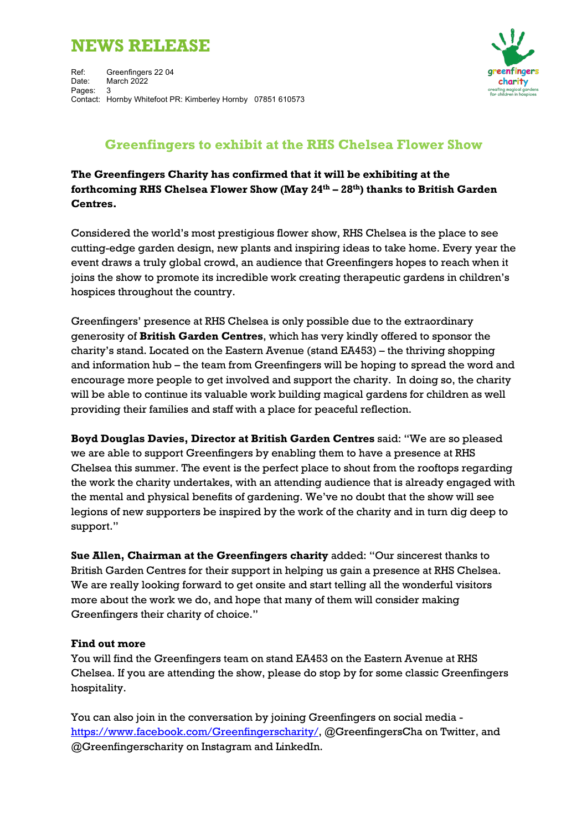# **NEWS RELEASE**



# **Greenfingers to exhibit at the RHS Chelsea Flower Show**

**The Greenfingers Charity has confirmed that it will be exhibiting at the forthcoming RHS Chelsea Flower Show (May 24th – 28th) thanks to British Garden Centres.**

Considered the world's most prestigious flower show, RHS Chelsea is the place to see cutting-edge garden design, new plants and inspiring ideas to take home. Every year the event draws a truly global crowd, an audience that Greenfingers hopes to reach when it joins the show to promote its incredible work creating therapeutic gardens in children's hospices throughout the country.

Greenfingers' presence at RHS Chelsea is only possible due to the extraordinary generosity of **British Garden Centres**, which has very kindly offered to sponsor the charity's stand. Located on the Eastern Avenue (stand EA453) – the thriving shopping and information hub – the team from Greenfingers will be hoping to spread the word and encourage more people to get involved and support the charity. In doing so, the charity will be able to continue its valuable work building magical gardens for children as well providing their families and staff with a place for peaceful reflection.

**Boyd Douglas Davies, Director at British Garden Centres** said: "We are so pleased we are able to support Greenfingers by enabling them to have a presence at RHS Chelsea this summer. The event is the perfect place to shout from the rooftops regarding the work the charity undertakes, with an attending audience that is already engaged with the mental and physical benefits of gardening. We've no doubt that the show will see legions of new supporters be inspired by the work of the charity and in turn dig deep to support."

**Sue Allen, Chairman at the Greenfingers charity** added: "Our sincerest thanks to British Garden Centres for their support in helping us gain a presence at RHS Chelsea. We are really looking forward to get onsite and start telling all the wonderful visitors more about the work we do, and hope that many of them will consider making Greenfingers their charity of choice."

## **Find out more**

You will find the Greenfingers team on stand EA453 on the Eastern Avenue at RHS Chelsea. If you are attending the show, please do stop by for some classic Greenfingers hospitality.

You can also join in the conversation by joining Greenfingers on social media https://www.facebook.com/Greenfingerscharity/, @GreenfingersCha on Twitter, and @Greenfingerscharity on Instagram and LinkedIn.